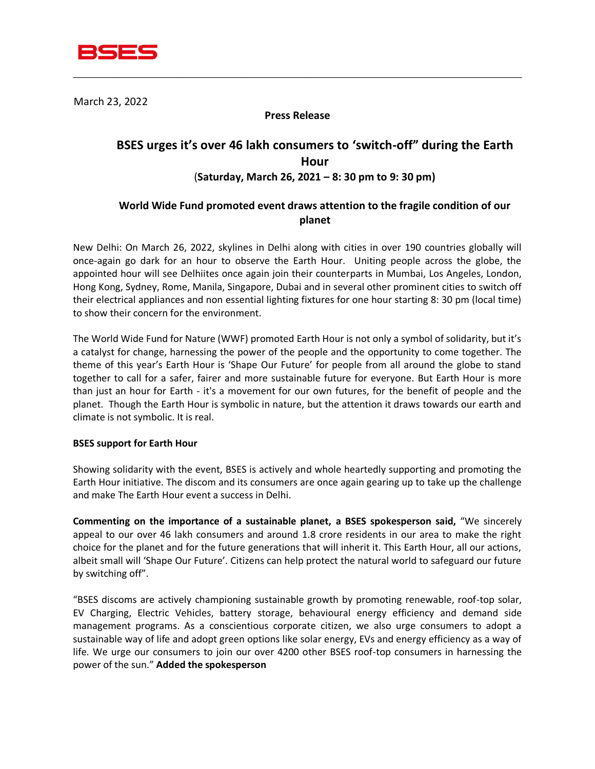

March 23, 2022

### **Press Release**

\_\_\_\_\_\_\_\_\_\_\_\_\_\_\_\_\_\_\_\_\_\_\_\_\_\_\_\_\_\_\_\_\_\_\_\_\_\_\_\_\_\_\_\_\_\_\_\_\_\_\_\_\_\_\_\_\_\_\_\_\_\_\_\_\_\_\_\_\_\_\_\_\_\_\_\_\_

# **BSES urges it's over 46 lakh consumers to 'switch-off" during the Earth Hour**  (**Saturday, March 26, 2021 – 8: 30 pm to 9: 30 pm)**

## **World Wide Fund promoted event draws attention to the fragile condition of our planet**

New Delhi: On March 26, 2022, skylines in Delhi along with cities in over 190 countries globally will once-again go dark for an hour to observe the Earth Hour. Uniting people across the globe, the appointed hour will see Delhiites once again join their counterparts in Mumbai, Los Angeles, London, Hong Kong, Sydney, Rome, Manila, Singapore, Dubai and in several other prominent cities to switch off their electrical appliances and non essential lighting fixtures for one hour starting 8: 30 pm (local time) to show their concern for the environment.

The World Wide Fund for Nature (WWF) promoted Earth Hour is not only a symbol of solidarity, but it's a catalyst for change, harnessing the power of the people and the opportunity to come together. The theme of this year's Earth Hour is 'Shape Our Future' for people from all around the globe to stand together to call for a safer, fairer and more sustainable future for everyone. But Earth Hour is more than just an hour for Earth - it's a movement for our own futures, for the benefit of people and the planet. Though the Earth Hour is symbolic in nature, but the attention it draws towards our earth and climate is not symbolic. It is real.

#### **BSES support for Earth Hour**

Showing solidarity with the event, BSES is actively and whole heartedly supporting and promoting the Earth Hour initiative. The discom and its consumers are once again gearing up to take up the challenge and make The Earth Hour event a success in Delhi.

**Commenting on the importance of a sustainable planet, a BSES spokesperson said,** "We sincerely appeal to our over 46 lakh consumers and around 1.8 crore residents in our area to make the right choice for the planet and for the future generations that will inherit it. This Earth Hour, all our actions, albeit small will 'Shape Our Future'. Citizens can help protect the natural world to safeguard our future by switching off".

"BSES discoms are actively championing sustainable growth by promoting renewable, roof-top solar, EV Charging, Electric Vehicles, battery storage, behavioural energy efficiency and demand side management programs. As a conscientious corporate citizen, we also urge consumers to adopt a sustainable way of life and adopt green options like solar energy, EVs and energy efficiency as a way of life. We urge our consumers to join our over 4200 other BSES roof-top consumers in harnessing the power of the sun." **Added the spokesperson**